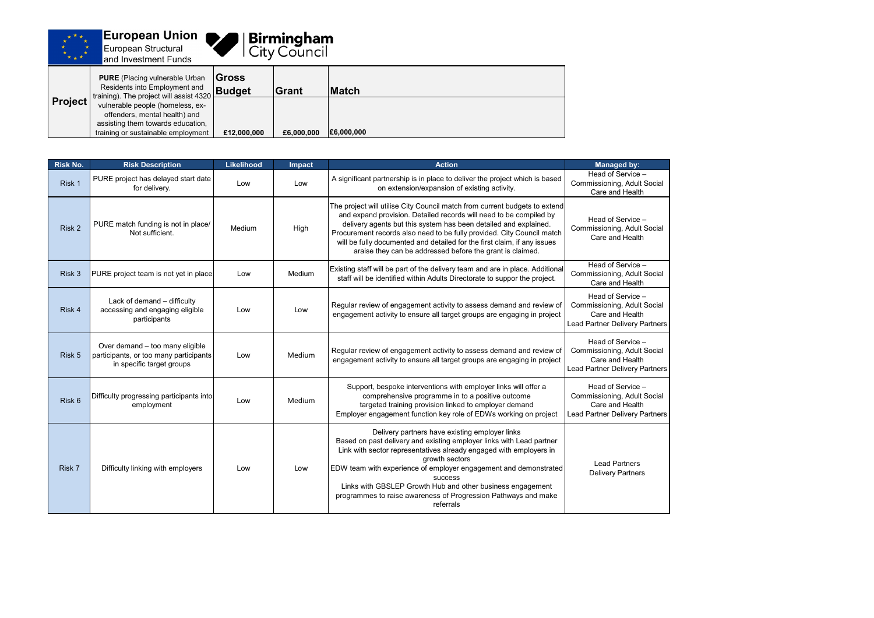



## **Birmingham**<br>City Council

| <b>Project</b> | <b>PURE</b> (Placing vulnerable Urban<br>Residents into Employment and<br>training). The project will assist 4320<br>vulnerable people (homeless, ex-<br>offenders, mental health) and<br>assisting them towards education,<br>training or sustainable employment | <b>IGross</b><br>Budget | <b>Grant</b> | <b>IMatch</b> |
|----------------|-------------------------------------------------------------------------------------------------------------------------------------------------------------------------------------------------------------------------------------------------------------------|-------------------------|--------------|---------------|
|                |                                                                                                                                                                                                                                                                   | £12,000,000             | £6,000,000   | £6,000,000    |

| <b>Risk No.</b> | <b>Risk Description</b>                                                                                | <b>Likelihood</b> | <b>Impact</b>                                                                                                                                                        | <b>Action</b>                                                                                                                                                                                                                                                                                                                                                                                                                                     | <b>Managed by:</b>                                                                                 |
|-----------------|--------------------------------------------------------------------------------------------------------|-------------------|----------------------------------------------------------------------------------------------------------------------------------------------------------------------|---------------------------------------------------------------------------------------------------------------------------------------------------------------------------------------------------------------------------------------------------------------------------------------------------------------------------------------------------------------------------------------------------------------------------------------------------|----------------------------------------------------------------------------------------------------|
| Risk 1          | PURE project has delayed start date<br>for delivery.                                                   | Low               | Low                                                                                                                                                                  | A significant partnership is in place to deliver the project which is based<br>on extension/expansion of existing activity.                                                                                                                                                                                                                                                                                                                       | Head of Service -<br>Commissioning, Adult Socia<br>Care and Health                                 |
| Risk 2          | PURE match funding is not in place/<br>Not sufficient.                                                 | Medium            | High                                                                                                                                                                 | The project will utilise City Council match from current budgets to extend<br>and expand provision. Detailed records will need to be compiled by<br>delivery agents but this system has been detailed and explained.<br>Procurement records also need to be fully provided. City Council match<br>will be fully documented and detailed for the first claim, if any issues<br>araise they can be addressed before the grant is claimed.           | Head of Service -<br>Commissioning, Adult Socia<br>Care and Health                                 |
| Risk 3          | PURE project team is not yet in place                                                                  | Low               | Existing staff will be part of the delivery team and are in place. Additional<br>Medium<br>staff will be identified within Adults Directorate to suppor the project. |                                                                                                                                                                                                                                                                                                                                                                                                                                                   | Head of Service -<br>Commissioning, Adult Socia<br>Care and Health                                 |
| Risk 4          | Lack of demand - difficulty<br>accessing and engaging eligible<br>participants                         | Low               | Low                                                                                                                                                                  | Regular review of engagement activity to assess demand and review of<br>engagement activity to ensure all target groups are engaging in project                                                                                                                                                                                                                                                                                                   | Head of Service -<br>Commissioning, Adult Socia<br>Care and Health<br>Lead Partner Delivery Partne |
| Risk 5          | Over demand - too many eligible<br>participants, or too many participants<br>in specific target groups | Low               | Medium                                                                                                                                                               | Regular review of engagement activity to assess demand and review of<br>engagement activity to ensure all target groups are engaging in project                                                                                                                                                                                                                                                                                                   | Head of Service -<br>Commissioning, Adult Socia<br>Care and Health<br>Lead Partner Delivery Partne |
| Risk 6          | Difficulty progressing participants into<br>employment                                                 | Low               | Medium                                                                                                                                                               | Support, bespoke interventions with employer links will offer a<br>comprehensive programme in to a positive outcome<br>targeted training provision linked to employer demand<br>Employer engagement function key role of EDWs working on project                                                                                                                                                                                                  | Head of Service -<br>Commissioning, Adult Socia<br>Care and Health<br>Lead Partner Delivery Partne |
| Risk 7          | Difficulty linking with employers                                                                      | Low               | Low                                                                                                                                                                  | Delivery partners have existing employer links<br>Based on past delivery and existing employer links with Lead partner<br>Link with sector representatives already engaged with employers in<br>growth sectors<br>EDW team with experience of employer engagement and demonstrated<br><b>SUCCESS</b><br>Links with GBSLEP Growth Hub and other business engagement<br>programmes to raise awareness of Progression Pathways and make<br>referrals | <b>Lead Partners</b><br><b>Delivery Partners</b>                                                   |